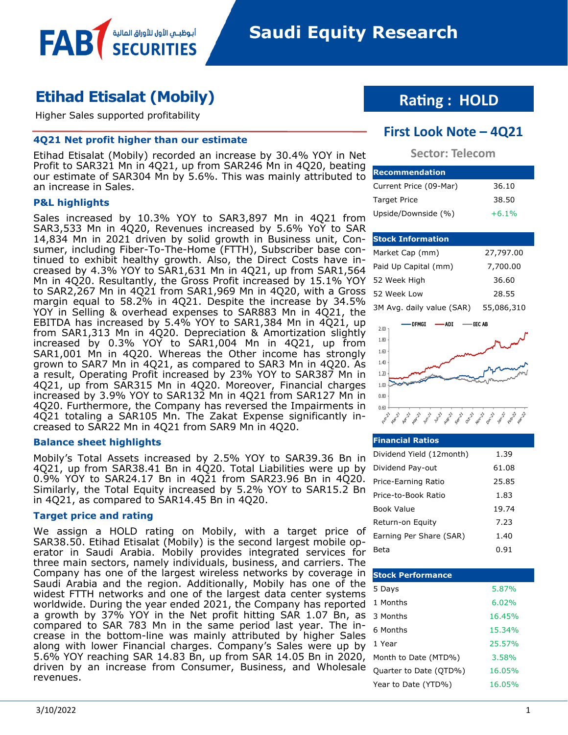## **Etihad Etisalat (Mobily)**

Higher Sales supported profitability

#### **4Q21 Net profit higher than our estimate**

أبوظبــي الأول للأوراق المالية

Etihad Etisalat (Mobily) recorded an increase by 30.4% YOY in Net Profit to SAR321 Mn in 4Q21, up from SAR246 Mn in 4Q20, beating our estimate of SAR304 Mn by 5.6%. This was mainly attributed to an increase in Sales.

#### **P&L highlights**

**FAB** 

Sales increased by 10.3% YOY to SAR3,897 Mn in 4Q21 from SAR3,533 Mn in 4Q20, Revenues increased by 5.6% YoY to SAR 14,834 Mn in 2021 driven by solid growth in Business unit, Con-**Stock Information** sumer, including Fiber-To-The-Home (FTTH), Subscriber base continued to exhibit healthy growth. Also, the Direct Costs have increased by 4.3% YOY to SAR1,631 Mn in 4Q21, up from SAR1,564 Mn in 4Q20. Resultantly, the Gross Profit increased by 15.1% YOY to SAR2,267 Mn in 4Q21 from SAR1,969 Mn in 4Q20, with a Gross margin equal to 58.2% in 4Q21. Despite the increase by 34.5% YOY in Selling & overhead expenses to SAR883 Mn in 4Q21, the EBITDA has increased by 5.4% YOY to SAR1,384 Mn in 4Q21, up from SAR1,313 Mn in 4Q20. Depreciation & Amortization slightly increased by 0.3% YOY to SAR1,004 Mn in 4Q21, up from SAR1,001 Mn in 4Q20. Whereas the Other income has strongly grown to SAR7 Mn in 4Q21, as compared to SAR3 Mn in 4Q20. As a result, Operating Profit increased by 23% YOY to SAR387 Mn in 4Q21, up from SAR315 Mn in 4Q20. Moreover, Financial charges increased by 3.9% YOY to SAR132 Mn in 4Q21 from SAR127 Mn in 4Q20. Furthermore, the Company has reversed the Impairments in 4Q21 totaling a SAR105 Mn. The Zakat Expense significantly increased to SAR22 Mn in 4Q21 from SAR9 Mn in 4Q20.

#### **Balance sheet highlights**

Mobily's Total Assets increased by 2.5% YOY to SAR39.36 Bn in 4Q21, up from SAR38.41 Bn in 4Q20. Total Liabilities were up by 0.9% YOY to SAR24.17 Bn in 4Q21 from SAR23.96 Bn in 4Q20. Similarly, the Total Equity increased by 5.2% YOY to SAR15.2 Bn in 4Q21, as compared to SAR14.45 Bn in 4Q20.

#### **Target price and rating**

We assign a HOLD rating on Mobily, with a target price of SAR38.50. Etihad Etisalat (Mobily) is the second largest mobile operator in Saudi Arabia. Mobily provides integrated services for three main sectors, namely individuals, business, and carriers. The Company has one of the largest wireless networks by coverage in Saudi Arabia and the region. Additionally, Mobily has one of the widest FTTH networks and one of the largest data center systems worldwide. During the year ended 2021, the Company has reported a growth by 37% YOY in the Net profit hitting SAR 1.07 Bn, as compared to SAR 783 Mn in the same period last year. The increase in the bottom-line was mainly attributed by higher Sales along with lower Financial charges. Company's Sales were up by 5.6% YOY reaching SAR 14.83 Bn, up from SAR 14.05 Bn in 2020, driven by an increase from Consumer, Business, and Wholesale revenues.

### **Rating : HOLD**

### **First Look Note – 4Q21**

#### **Sector: Telecom**

| <b>Recommendation</b>  |         |  |  |  |  |  |
|------------------------|---------|--|--|--|--|--|
| Current Price (09-Mar) | 36.10   |  |  |  |  |  |
| <b>Target Price</b>    | 38.50   |  |  |  |  |  |
| Upside/Downside (%)    | $+6.1%$ |  |  |  |  |  |

| Market Cap (mm)           | 27,797.00  |
|---------------------------|------------|
| Paid Up Capital (mm)      | 7,700.00   |
| 52 Week High              | 36.60      |
| 52 Week Low               | 28.55      |
| 3M Avg. daily value (SAR) | 55,086,310 |



#### **Financial Ratios** Dividend Yield (12month) 1.39 Dividend Pay-out 61.08 Price-Earning Ratio 25.85 Price-to-Book Ratio 1.83 Book Value 19.74 Return-on Equity 7.23 Earning Per Share (SAR) 1.40 Beta 0.91

| <b>Stock Performance</b> |        |
|--------------------------|--------|
| 5 Days                   | 5.87%  |
| 1 Months                 | 6.02%  |
| 3 Months                 | 16.45% |
| 6 Months                 | 15.34% |
| 1 Year                   | 25.57% |
| Month to Date (MTD%)     | 3.58%  |
| Quarter to Date (QTD%)   | 16.05% |
| Year to Date (YTD%)      | 16.05% |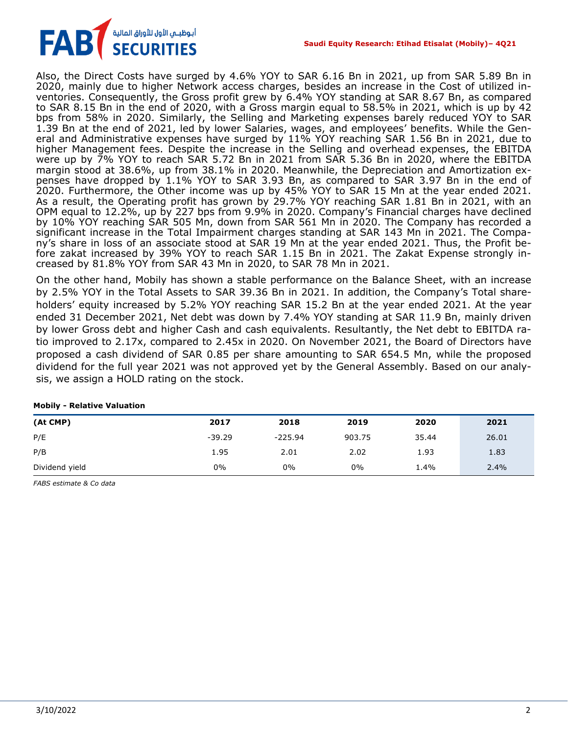

Also, the Direct Costs have surged by 4.6% YOY to SAR 6.16 Bn in 2021, up from SAR 5.89 Bn in 2020, mainly due to higher Network access charges, besides an increase in the Cost of utilized inventories. Consequently, the Gross profit grew by 6.4% YOY standing at SAR 8.67 Bn, as compared to SAR 8.15 Bn in the end of 2020, with a Gross margin equal to 58.5% in 2021, which is up by 42 bps from 58% in 2020. Similarly, the Selling and Marketing expenses barely reduced YOY to SAR 1.39 Bn at the end of 2021, led by lower Salaries, wages, and employees' benefits. While the General and Administrative expenses have surged by 11% YOY reaching SAR 1.56 Bn in 2021, due to higher Management fees. Despite the increase in the Selling and overhead expenses, the EBITDA were up by 7% YOY to reach SAR 5.72 Bn in 2021 from SAR 5.36 Bn in 2020, where the EBITDA margin stood at 38.6%, up from 38.1% in 2020. Meanwhile, the Depreciation and Amortization expenses have dropped by 1.1% YOY to SAR 3.93 Bn, as compared to SAR 3.97 Bn in the end of 2020. Furthermore, the Other income was up by 45% YOY to SAR 15 Mn at the year ended 2021. As a result, the Operating profit has grown by 29.7% YOY reaching SAR 1.81 Bn in 2021, with an OPM equal to 12.2%, up by 227 bps from 9.9% in 2020. Company's Financial charges have declined by 10% YOY reaching SAR 505 Mn, down from SAR 561 Mn in 2020. The Company has recorded a significant increase in the Total Impairment charges standing at SAR 143 Mn in 2021. The Company's share in loss of an associate stood at SAR 19 Mn at the year ended 2021. Thus, the Profit before zakat increased by 39% YOY to reach SAR 1.15 Bn in 2021. The Zakat Expense strongly increased by 81.8% YOY from SAR 43 Mn in 2020, to SAR 78 Mn in 2021.

On the other hand, Mobily has shown a stable performance on the Balance Sheet, with an increase by 2.5% YOY in the Total Assets to SAR 39.36 Bn in 2021. In addition, the Company's Total shareholders' equity increased by 5.2% YOY reaching SAR 15.2 Bn at the year ended 2021. At the year ended 31 December 2021, Net debt was down by 7.4% YOY standing at SAR 11.9 Bn, mainly driven by lower Gross debt and higher Cash and cash equivalents. Resultantly, the Net debt to EBITDA ratio improved to 2.17x, compared to 2.45x in 2020. On November 2021, the Board of Directors have proposed a cash dividend of SAR 0.85 per share amounting to SAR 654.5 Mn, while the proposed dividend for the full year 2021 was not approved yet by the General Assembly. Based on our analysis, we assign a HOLD rating on the stock.

| _ _ _ _ _ _ _ _ _ _ _ |          |           |        |       |       |
|-----------------------|----------|-----------|--------|-------|-------|
| (At CMP)              | 2017     | 2018      | 2019   | 2020  | 2021  |
| P/E                   | $-39.29$ | $-225.94$ | 903.75 | 35.44 | 26.01 |
| P/B                   | 1.95     | 2.01      | 2.02   | 1.93  | 1.83  |
| Dividend yield        | 0%       | 0%        | 0%     | 1.4%  | 2.4%  |

**Mobily - Relative Valuation**

*FABS estimate & Co data*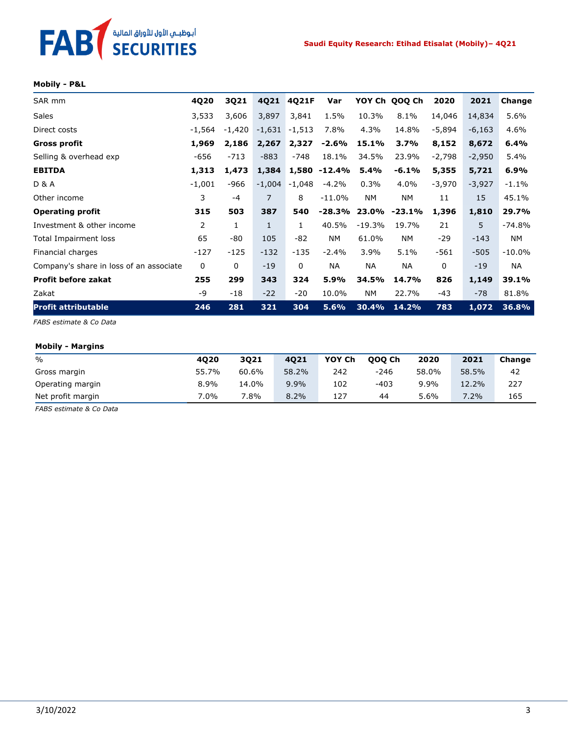# FAB<sup>T</sup> SECURITIES

#### **Mobily - P&L**

| SAR mm                                  | 4Q20           | 3Q21     | 4Q21         | 4Q21F        | Var          |          | YOY Ch QOQ Ch | 2020     | 2021     | Change    |
|-----------------------------------------|----------------|----------|--------------|--------------|--------------|----------|---------------|----------|----------|-----------|
| <b>Sales</b>                            | 3,533          | 3,606    | 3,897        | 3,841        | 1.5%         | 10.3%    | 8.1%          | 14,046   | 14,834   | 5.6%      |
| Direct costs                            | -1,564         | $-1,420$ | $-1,631$     | $-1,513$     | 7.8%         | 4.3%     | 14.8%         | -5,894   | $-6,163$ | 4.6%      |
| Gross profit                            | 1,969          | 2,186    | 2,267        | 2,327        | $-2.6%$      | 15.1%    | 3.7%          | 8,152    | 8,672    | 6.4%      |
| Selling & overhead exp                  | -656           | $-713$   | $-883$       | $-748$       | 18.1%        | 34.5%    | 23.9%         | $-2,798$ | $-2,950$ | 5.4%      |
| <b>EBITDA</b>                           | 1,313          | 1,473    | 1,384        |              | 1,580 -12.4% | 5.4%     | $-6.1%$       | 5,355    | 5,721    | 6.9%      |
| <b>D &amp; A</b>                        | $-1,001$       | $-966$   | $-1,004$     | $-1,048$     | $-4.2%$      | 0.3%     | 4.0%          | -3,970   | $-3,927$ | $-1.1%$   |
| Other income                            | 3              | $-4$     | 7            | 8            | $-11.0%$     | NM.      | NΜ            | 11       | 15       | 45.1%     |
| <b>Operating profit</b>                 | 315            | 503      | 387          | 540          | $-28.3%$     |          | 23.0% -23.1%  | 1,396    | 1,810    | 29.7%     |
| Investment & other income               | $\overline{2}$ | 1        | $\mathbf{1}$ | $\mathbf{1}$ | 40.5%        | $-19.3%$ | 19.7%         | 21       | 5        | $-74.8%$  |
| Total Impairment loss                   | 65             | -80      | 105          | $-82$        | <b>NM</b>    | 61.0%    | NM.           | $-29$    | $-143$   | NM.       |
| Financial charges                       | $-127$         | $-125$   | $-132$       | $-135$       | $-2.4%$      | 3.9%     | 5.1%          | $-561$   | $-505$   | $-10.0\%$ |
| Company's share in loss of an associate | 0              | 0        | $-19$        | $\mathbf{0}$ | ΝA           | NA.      | <b>NA</b>     | 0        | $-19$    | NA.       |
| <b>Profit before zakat</b>              | 255            | 299      | 343          | 324          | 5.9%         | 34.5%    | 14.7%         | 826      | 1,149    | 39.1%     |
| Zakat                                   | -9             | -18      | $-22$        | $-20$        | 10.0%        | NM.      | 22.7%         | -43      | $-78$    | 81.8%     |
| <b>Profit attributable</b>              | 246            | 281      | 321          | 304          | 5.6%         | 30.4%    | 14.2%         | 783      | 1,072    | 36.8%     |

*FABS estimate & Co Data*

#### **Mobily - Margins**

| $\%$              | 4020  | 3021  | 4021  | YOY Ch | 000 Ch | 2020  | 2021  | Change |
|-------------------|-------|-------|-------|--------|--------|-------|-------|--------|
| Gross margin      | 55.7% | 60.6% | 58.2% | 242    | $-246$ | 58.0% | 58.5% | 42     |
| Operating margin  | 8.9%  | 14.0% | 9.9%  | 102    | $-403$ | 9.9%  | 12.2% | 227    |
| Net profit margin | 7.0%  | 7.8%  | 8.2%  | 127    | 44     | 5.6%  | 7.2%  | 165    |

*FABS estimate & Co Data*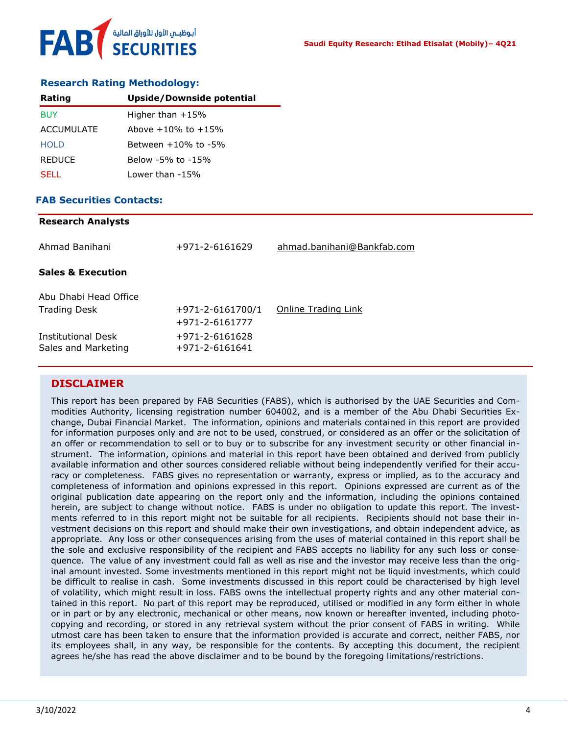#### **Research Rating Methodology:**

| Rating            | Upside/Downside potential |
|-------------------|---------------------------|
| <b>BUY</b>        | Higher than $+15%$        |
| <b>ACCUMULATE</b> | Above $+10\%$ to $+15\%$  |
| <b>HOLD</b>       | Between $+10\%$ to $-5\%$ |
| <b>REDUCE</b>     | Below -5% to -15%         |
| <b>SELL</b>       | Lower than -15%           |

#### **FAB Securities Contacts:**

| <b>Research Analysts</b>                         |                                  |                            |
|--------------------------------------------------|----------------------------------|----------------------------|
| Ahmad Banihani                                   | +971-2-6161629                   | ahmad.banihani@Bankfab.com |
| <b>Sales &amp; Execution</b>                     |                                  |                            |
| Abu Dhabi Head Office                            |                                  |                            |
| <b>Trading Desk</b>                              | $+971 - 2 - 6161700/1$           | Online Trading Link        |
|                                                  | +971-2-6161777                   |                            |
| <b>Institutional Desk</b><br>Sales and Marketing | +971-2-6161628<br>+971-2-6161641 |                            |

#### **DISCLAIMER**

This report has been prepared by FAB Securities (FABS), which is authorised by the UAE Securities and Commodities Authority, licensing registration number 604002, and is a member of the Abu Dhabi Securities Exchange, Dubai Financial Market. The information, opinions and materials contained in this report are provided for information purposes only and are not to be used, construed, or considered as an offer or the solicitation of an offer or recommendation to sell or to buy or to subscribe for any investment security or other financial instrument. The information, opinions and material in this report have been obtained and derived from publicly available information and other sources considered reliable without being independently verified for their accuracy or completeness. FABS gives no representation or warranty, express or implied, as to the accuracy and completeness of information and opinions expressed in this report. Opinions expressed are current as of the original publication date appearing on the report only and the information, including the opinions contained herein, are subject to change without notice. FABS is under no obligation to update this report. The investments referred to in this report might not be suitable for all recipients. Recipients should not base their investment decisions on this report and should make their own investigations, and obtain independent advice, as appropriate. Any loss or other consequences arising from the uses of material contained in this report shall be the sole and exclusive responsibility of the recipient and FABS accepts no liability for any such loss or consequence. The value of any investment could fall as well as rise and the investor may receive less than the original amount invested. Some investments mentioned in this report might not be liquid investments, which could be difficult to realise in cash. Some investments discussed in this report could be characterised by high level of volatility, which might result in loss. FABS owns the intellectual property rights and any other material contained in this report. No part of this report may be reproduced, utilised or modified in any form either in whole or in part or by any electronic, mechanical or other means, now known or hereafter invented, including photocopying and recording, or stored in any retrieval system without the prior consent of FABS in writing. While utmost care has been taken to ensure that the information provided is accurate and correct, neither FABS, nor its employees shall, in any way, be responsible for the contents. By accepting this document, the recipient agrees he/she has read the above disclaimer and to be bound by the foregoing limitations/restrictions.